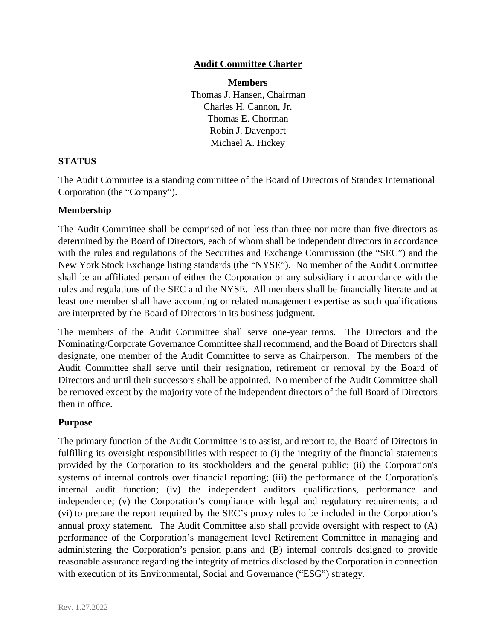## **Audit Committee Charter**

**Members** 

Thomas J. Hansen, Chairman Charles H. Cannon, Jr. Thomas E. Chorman Robin J. Davenport Michael A. Hickey

# **STATUS**

The Audit Committee is a standing committee of the Board of Directors of Standex International Corporation (the "Company").

## **Membership**

The Audit Committee shall be comprised of not less than three nor more than five directors as determined by the Board of Directors, each of whom shall be independent directors in accordance with the rules and regulations of the Securities and Exchange Commission (the "SEC") and the New York Stock Exchange listing standards (the "NYSE"). No member of the Audit Committee shall be an affiliated person of either the Corporation or any subsidiary in accordance with the rules and regulations of the SEC and the NYSE. All members shall be financially literate and at least one member shall have accounting or related management expertise as such qualifications are interpreted by the Board of Directors in its business judgment.

The members of the Audit Committee shall serve one-year terms. The Directors and the Nominating/Corporate Governance Committee shall recommend, and the Board of Directors shall designate, one member of the Audit Committee to serve as Chairperson. The members of the Audit Committee shall serve until their resignation, retirement or removal by the Board of Directors and until their successors shall be appointed. No member of the Audit Committee shall be removed except by the majority vote of the independent directors of the full Board of Directors then in office.

## **Purpose**

The primary function of the Audit Committee is to assist, and report to, the Board of Directors in fulfilling its oversight responsibilities with respect to (i) the integrity of the financial statements provided by the Corporation to its stockholders and the general public; (ii) the Corporation's systems of internal controls over financial reporting; (iii) the performance of the Corporation's internal audit function; (iv) the independent auditors qualifications, performance and independence; (v) the Corporation's compliance with legal and regulatory requirements; and (vi) to prepare the report required by the SEC's proxy rules to be included in the Corporation's annual proxy statement. The Audit Committee also shall provide oversight with respect to (A) performance of the Corporation's management level Retirement Committee in managing and administering the Corporation's pension plans and (B) internal controls designed to provide reasonable assurance regarding the integrity of metrics disclosed by the Corporation in connection with execution of its Environmental, Social and Governance ("ESG") strategy.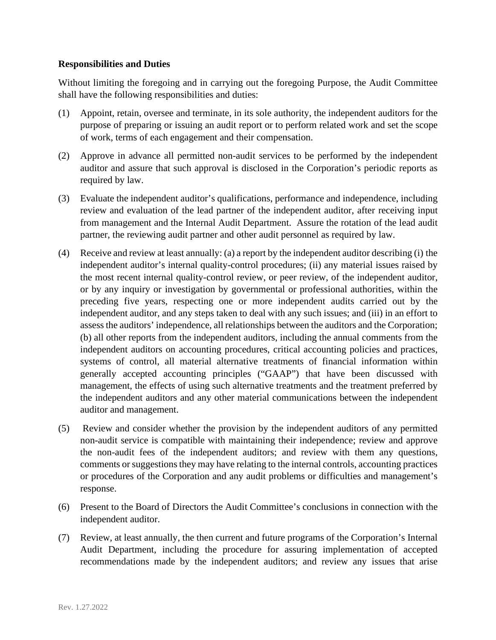## **Responsibilities and Duties**

Without limiting the foregoing and in carrying out the foregoing Purpose, the Audit Committee shall have the following responsibilities and duties:

- (1) Appoint, retain, oversee and terminate, in its sole authority, the independent auditors for the purpose of preparing or issuing an audit report or to perform related work and set the scope of work, terms of each engagement and their compensation.
- (2) Approve in advance all permitted non-audit services to be performed by the independent auditor and assure that such approval is disclosed in the Corporation's periodic reports as required by law.
- (3) Evaluate the independent auditor's qualifications, performance and independence, including review and evaluation of the lead partner of the independent auditor, after receiving input from management and the Internal Audit Department. Assure the rotation of the lead audit partner, the reviewing audit partner and other audit personnel as required by law.
- (4) Receive and review at least annually: (a) a report by the independent auditor describing (i) the independent auditor's internal quality-control procedures; (ii) any material issues raised by the most recent internal quality-control review, or peer review, of the independent auditor, or by any inquiry or investigation by governmental or professional authorities, within the preceding five years, respecting one or more independent audits carried out by the independent auditor, and any steps taken to deal with any such issues; and (iii) in an effort to assess the auditors' independence, all relationships between the auditors and the Corporation; (b) all other reports from the independent auditors, including the annual comments from the independent auditors on accounting procedures, critical accounting policies and practices, systems of control, all material alternative treatments of financial information within generally accepted accounting principles ("GAAP") that have been discussed with management, the effects of using such alternative treatments and the treatment preferred by the independent auditors and any other material communications between the independent auditor and management.
- (5) Review and consider whether the provision by the independent auditors of any permitted non-audit service is compatible with maintaining their independence; review and approve the non-audit fees of the independent auditors; and review with them any questions, comments or suggestions they may have relating to the internal controls, accounting practices or procedures of the Corporation and any audit problems or difficulties and management's response.
- (6) Present to the Board of Directors the Audit Committee's conclusions in connection with the independent auditor.
- (7) Review, at least annually, the then current and future programs of the Corporation's Internal Audit Department, including the procedure for assuring implementation of accepted recommendations made by the independent auditors; and review any issues that arise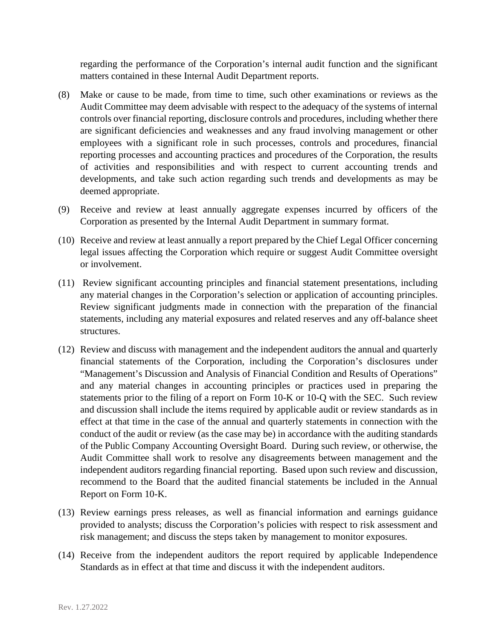regarding the performance of the Corporation's internal audit function and the significant matters contained in these Internal Audit Department reports.

- (8) Make or cause to be made, from time to time, such other examinations or reviews as the Audit Committee may deem advisable with respect to the adequacy of the systems of internal controls over financial reporting, disclosure controls and procedures, including whether there are significant deficiencies and weaknesses and any fraud involving management or other employees with a significant role in such processes, controls and procedures, financial reporting processes and accounting practices and procedures of the Corporation, the results of activities and responsibilities and with respect to current accounting trends and developments, and take such action regarding such trends and developments as may be deemed appropriate.
- (9) Receive and review at least annually aggregate expenses incurred by officers of the Corporation as presented by the Internal Audit Department in summary format.
- (10) Receive and review at least annually a report prepared by the Chief Legal Officer concerning legal issues affecting the Corporation which require or suggest Audit Committee oversight or involvement.
- (11) Review significant accounting principles and financial statement presentations, including any material changes in the Corporation's selection or application of accounting principles. Review significant judgments made in connection with the preparation of the financial statements, including any material exposures and related reserves and any off-balance sheet structures.
- (12) Review and discuss with management and the independent auditors the annual and quarterly financial statements of the Corporation, including the Corporation's disclosures under "Management's Discussion and Analysis of Financial Condition and Results of Operations" and any material changes in accounting principles or practices used in preparing the statements prior to the filing of a report on Form 10-K or 10-Q with the SEC. Such review and discussion shall include the items required by applicable audit or review standards as in effect at that time in the case of the annual and quarterly statements in connection with the conduct of the audit or review (as the case may be) in accordance with the auditing standards of the Public Company Accounting Oversight Board. During such review, or otherwise, the Audit Committee shall work to resolve any disagreements between management and the independent auditors regarding financial reporting. Based upon such review and discussion, recommend to the Board that the audited financial statements be included in the Annual Report on Form 10-K.
- (13) Review earnings press releases, as well as financial information and earnings guidance provided to analysts; discuss the Corporation's policies with respect to risk assessment and risk management; and discuss the steps taken by management to monitor exposures.
- (14) Receive from the independent auditors the report required by applicable Independence Standards as in effect at that time and discuss it with the independent auditors.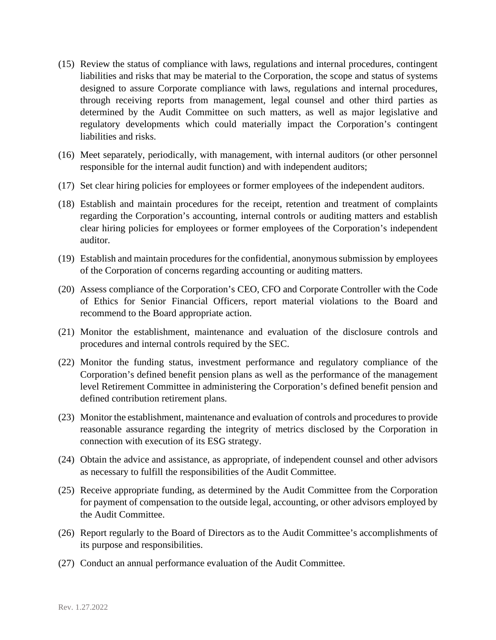- (15) Review the status of compliance with laws, regulations and internal procedures, contingent liabilities and risks that may be material to the Corporation, the scope and status of systems designed to assure Corporate compliance with laws, regulations and internal procedures, through receiving reports from management, legal counsel and other third parties as determined by the Audit Committee on such matters, as well as major legislative and regulatory developments which could materially impact the Corporation's contingent liabilities and risks.
- (16) Meet separately, periodically, with management, with internal auditors (or other personnel responsible for the internal audit function) and with independent auditors;
- (17) Set clear hiring policies for employees or former employees of the independent auditors.
- (18) Establish and maintain procedures for the receipt, retention and treatment of complaints regarding the Corporation's accounting, internal controls or auditing matters and establish clear hiring policies for employees or former employees of the Corporation's independent auditor.
- (19) Establish and maintain procedures for the confidential, anonymous submission by employees of the Corporation of concerns regarding accounting or auditing matters.
- (20) Assess compliance of the Corporation's CEO, CFO and Corporate Controller with the Code of Ethics for Senior Financial Officers, report material violations to the Board and recommend to the Board appropriate action.
- (21) Monitor the establishment, maintenance and evaluation of the disclosure controls and procedures and internal controls required by the SEC.
- (22) Monitor the funding status, investment performance and regulatory compliance of the Corporation's defined benefit pension plans as well as the performance of the management level Retirement Committee in administering the Corporation's defined benefit pension and defined contribution retirement plans.
- (23) Monitor the establishment, maintenance and evaluation of controls and procedures to provide reasonable assurance regarding the integrity of metrics disclosed by the Corporation in connection with execution of its ESG strategy.
- (24) Obtain the advice and assistance, as appropriate, of independent counsel and other advisors as necessary to fulfill the responsibilities of the Audit Committee.
- (25) Receive appropriate funding, as determined by the Audit Committee from the Corporation for payment of compensation to the outside legal, accounting, or other advisors employed by the Audit Committee.
- (26) Report regularly to the Board of Directors as to the Audit Committee's accomplishments of its purpose and responsibilities.
- (27) Conduct an annual performance evaluation of the Audit Committee.